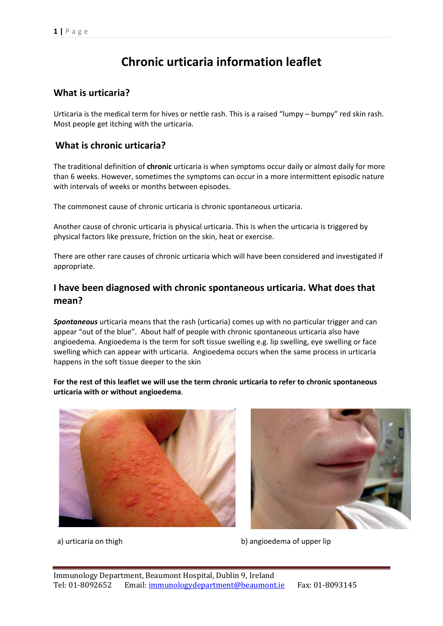# **Chronic urticaria information leaflet**

## **What is urticaria?**

Urticaria is the medical term for hives or nettle rash. This is a raised "lumpy – bumpy" red skin rash. Most people get itching with the urticaria.

## **What is chronic urticaria?**

The traditional definition of **chronic** urticaria is when symptoms occur daily or almost daily for more than 6 weeks. However, sometimes the symptoms can occur in a more intermittent episodic nature with intervals of weeks or months between episodes.

The commonest cause of chronic urticaria is chronic spontaneous urticaria.

Another cause of chronic urticaria is physical urticaria. This is when the urticaria is triggered by physical factors like pressure, friction on the skin, heat or exercise.

There are other rare causes of chronic urticaria which will have been considered and investigated if appropriate.

# **I have been diagnosed with chronic spontaneous urticaria. What does that mean?**

*Spontaneous* urticaria means that the rash (urticaria) comes up with no particular trigger and can appear "out of the blue". About half of people with chronic spontaneous urticaria also have angioedema. Angioedema is the term for soft tissue swelling e.g. lip swelling, eye swelling or face swelling which can appear with urticaria. Angioedema occurs when the same process in urticaria happens in the soft tissue deeper to the skin

**For the rest of this leaflet we will use the term chronic urticaria to refer to chronic spontaneous urticaria with or without angioedema**.





a) urticaria on thigh b) angioedema of upper lip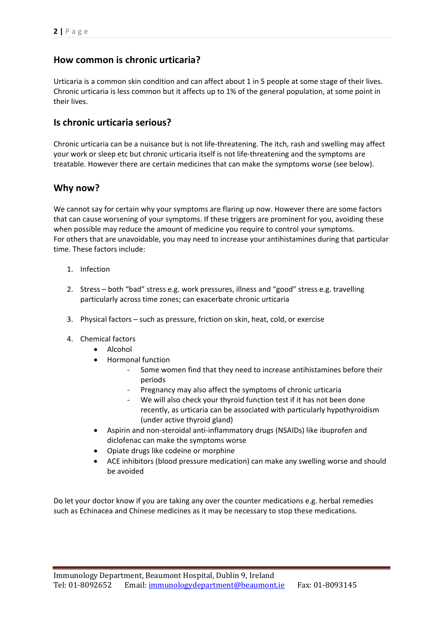# **How common is chronic urticaria?**

Urticaria is a common skin condition and can affect about 1 in 5 people at some stage of their lives. Chronic urticaria is less common but it affects up to 1% of the general population, at some point in their lives.

#### **Is chronic urticaria serious?**

Chronic urticaria can be a nuisance but is not life-threatening. The itch, rash and swelling may affect your work or sleep etc but chronic urticaria itself is not life-threatening and the symptoms are treatable. However there are certain medicines that can make the symptoms worse (see below).

#### **Why now?**

We cannot say for certain why your symptoms are flaring up now. However there are some factors that can cause worsening of your symptoms. If these triggers are prominent for you, avoiding these when possible may reduce the amount of medicine you require to control your symptoms. For others that are unavoidable, you may need to increase your antihistamines during that particular time. These factors include:

- 1. Infection
- 2. Stress both "bad" stress e.g. work pressures, illness and "good" stress e.g. travelling particularly across time zones; can exacerbate chronic urticaria
- 3. Physical factors such as pressure, friction on skin, heat, cold, or exercise
- 4. Chemical factors
	- Alcohol
	- Hormonal function
		- Some women find that they need to increase antihistamines before their periods
		- Pregnancy may also affect the symptoms of chronic urticaria
		- We will also check your thyroid function test if it has not been done recently, as urticaria can be associated with particularly hypothyroidism (under active thyroid gland)
	- Aspirin and non-steroidal anti-inflammatory drugs (NSAIDs) like ibuprofen and diclofenac can make the symptoms worse
	- Opiate drugs like codeine or morphine
	- ACE inhibitors (blood pressure medication) can make any swelling worse and should be avoided

Do let your doctor know if you are taking any over the counter medications e.g. herbal remedies such as Echinacea and Chinese medicines as it may be necessary to stop these medications.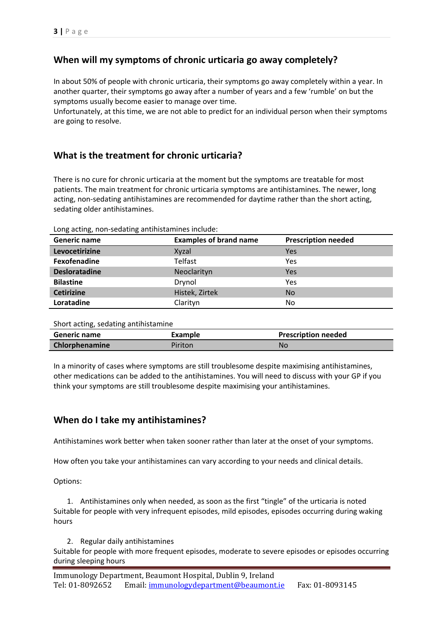# **When will my symptoms of chronic urticaria go away completely?**

In about 50% of people with chronic urticaria, their symptoms go away completely within a year. In another quarter, their symptoms go away after a number of years and a few 'rumble' on but the symptoms usually become easier to manage over time.

Unfortunately, at this time, we are not able to predict for an individual person when their symptoms are going to resolve.

# **What is the treatment for chronic urticaria?**

There is no cure for chronic urticaria at the moment but the symptoms are treatable for most patients. The main treatment for chronic urticaria symptoms are antihistamines. The newer, long acting, non-sedating antihistamines are recommended for daytime rather than the short acting, sedating older antihistamines.

| $\sim$ . A detiring from beadthing antimided minimage. |                               |                            |  |
|--------------------------------------------------------|-------------------------------|----------------------------|--|
| Generic name                                           | <b>Examples of brand name</b> | <b>Prescription needed</b> |  |
| Levocetirizine                                         | Xyzal                         | Yes                        |  |
| Fexofenadine                                           | <b>Telfast</b>                | Yes                        |  |
| <b>Desloratadine</b>                                   | Neoclarityn                   | Yes                        |  |
| <b>Bilastine</b>                                       | Drynol                        | Yes                        |  |
| <b>Cetirizine</b>                                      | Histek, Zirtek                | No                         |  |
| Loratadine                                             | Clarityn                      | No                         |  |

Long acting, non-sedating antihistamines include:

#### Short acting, sedating antihistamine

| <b>Generic name</b> | Example | <b>Prescription needed</b> |
|---------------------|---------|----------------------------|
| Chlorphenamine      | Piriton | Nc                         |

In a minority of cases where symptoms are still troublesome despite maximising antihistamines, other medications can be added to the antihistamines. You will need to discuss with your GP if you think your symptoms are still troublesome despite maximising your antihistamines.

## **When do I take my antihistamines?**

Antihistamines work better when taken sooner rather than later at the onset of your symptoms.

How often you take your antihistamines can vary according to your needs and clinical details.

Options:

1. Antihistamines only when needed, as soon as the first "tingle" of the urticaria is noted Suitable for people with very infrequent episodes, mild episodes, episodes occurring during waking hours

2. Regular daily antihistamines

Suitable for people with more frequent episodes, moderate to severe episodes or episodes occurring during sleeping hours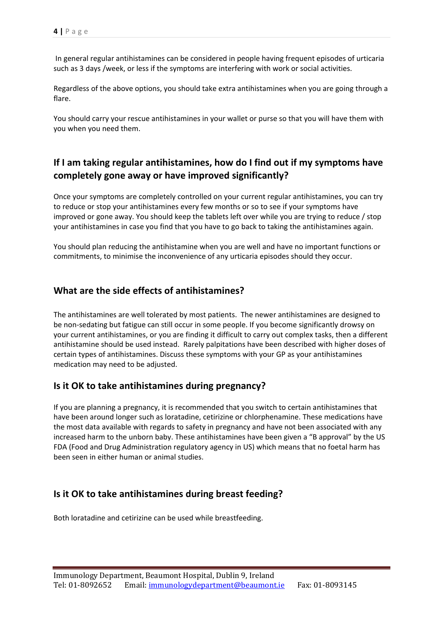In general regular antihistamines can be considered in people having frequent episodes of urticaria such as 3 days /week, or less if the symptoms are interfering with work or social activities.

Regardless of the above options, you should take extra antihistamines when you are going through a flare.

You should carry your rescue antihistamines in your wallet or purse so that you will have them with you when you need them.

# **If I am taking regular antihistamines, how do I find out if my symptoms have completely gone away or have improved significantly?**

Once your symptoms are completely controlled on your current regular antihistamines, you can try to reduce or stop your antihistamines every few months or so to see if your symptoms have improved or gone away. You should keep the tablets left over while you are trying to reduce / stop your antihistamines in case you find that you have to go back to taking the antihistamines again.

You should plan reducing the antihistamine when you are well and have no important functions or commitments, to minimise the inconvenience of any urticaria episodes should they occur.

## **What are the side effects of antihistamines?**

The antihistamines are well tolerated by most patients. The newer antihistamines are designed to be non-sedating but fatigue can still occur in some people. If you become significantly drowsy on your current antihistamines, or you are finding it difficult to carry out complex tasks, then a different antihistamine should be used instead. Rarely palpitations have been described with higher doses of certain types of antihistamines. Discuss these symptoms with your GP as your antihistamines medication may need to be adjusted.

## **Is it OK to take antihistamines during pregnancy?**

If you are planning a pregnancy, it is recommended that you switch to certain antihistamines that have been around longer such as loratadine, cetirizine or chlorphenamine. These medications have the most data available with regards to safety in pregnancy and have not been associated with any increased harm to the unborn baby. These antihistamines have been given a "B approval" by the US FDA (Food and Drug Administration regulatory agency in US) which means that no foetal harm has been seen in either human or animal studies.

## **Is it OK to take antihistamines during breast feeding?**

Both loratadine and cetirizine can be used while breastfeeding.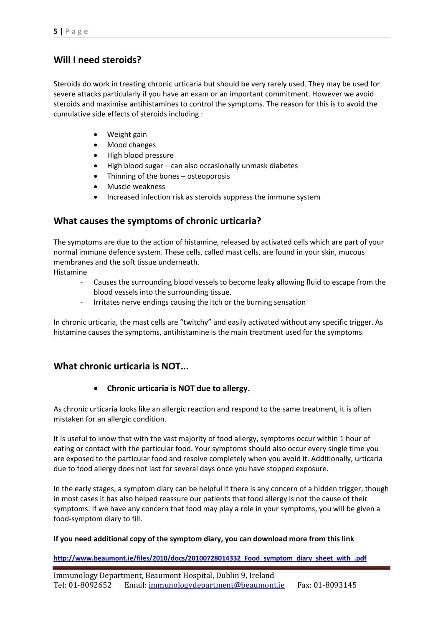## **Will I need steroids?**

Steroids do work in treating chronic urticaria but should be very rarely used. They may be used for severe attacks particularly if you have an exam or an important commitment. However we avoid steroids and maximise antihistamines to control the symptoms. The reason for this is to avoid the cumulative side effects of steroids including :

- Weight gain
- Mood changes
- High blood pressure
- High blood sugar can also occasionally unmask diabetes
- Thinning of the bones osteoporosis
- Muscle weakness
- Increased infection risk as steroids suppress the immune system

## **What causes the symptoms of chronic urticaria?**

The symptoms are due to the action of histamine, released by activated cells which are part of your normal immune defence system. These cells, called mast cells, are found in your skin, mucous membranes and the soft tissue underneath.

Histamine

- Causes the surrounding blood vessels to become leaky allowing fluid to escape from the blood vessels into the surrounding tissue.
- Irritates nerve endings causing the itch or the burning sensation

In chronic urticaria, the mast cells are "twitchy" and easily activated without any specific trigger. As histamine causes the symptoms, antihistamine is the main treatment used for the symptoms.

## **What chronic urticaria is NOT...**

#### • **Chronic urticaria is NOT due to allergy.**

As chronic urticaria looks like an allergic reaction and respond to the same treatment, it is often mistaken for an allergic condition.

It is useful to know that with the vast majority of food allergy, symptoms occur within 1 hour of eating or contact with the particular food. Your symptoms should also occur every single time you are exposed to the particular food and resolve completely when you avoid it. Additionally, urticaria due to food allergy does not last for several days once you have stopped exposure.

In the early stages, a symptom diary can be helpful if there is any concern of a hidden trigger; though in most cases it has also helped reassure our patients that food allergy is not the cause of their symptoms. If we have any concern that food may play a role in your symptoms, you will be given a food-symptom diary to fill.

#### **If you need additional copy of the symptom diary, you can download more from this link**

**[http://www.beaumont.ie/files/2010/docs/20100728014332\\_Food\\_symptom\\_diary\\_sheet\\_with\\_.pdf](http://www.beaumont.ie/files/2010/docs/20100728014332_Food_symptom_diary_sheet_with_.pdf)**